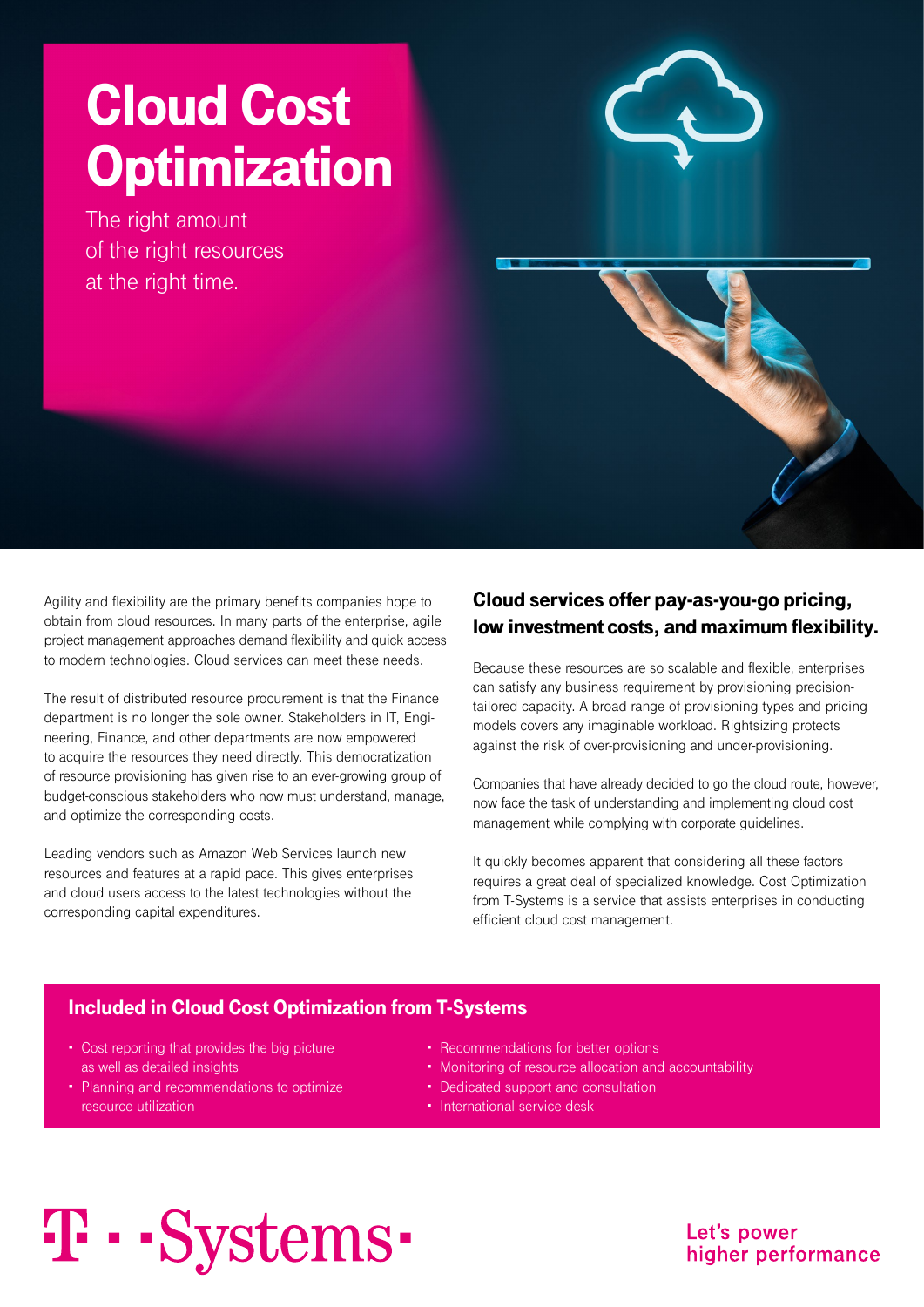# Cloud Cost **Optimization**

The right amount of the right resources at the right time.



Agility and flexibility are the primary benefits companies hope to obtain from cloud resources. In many parts of the enterprise, agile project management approaches demand flexibility and quick access to modern technologies. Cloud services can meet these needs.

The result of distributed resource procurement is that the Finance department is no longer the sole owner. Stakeholders in IT, Engineering, Finance, and other departments are now empowered to acquire the resources they need directly. This democratization of resource provisioning has given rise to an ever-growing group of budget-conscious stakeholders who now must understand, manage, and optimize the corresponding costs.

Leading vendors such as Amazon Web Services launch new resources and features at a rapid pace. This gives enterprises and cloud users access to the latest technologies without the corresponding capital expenditures.

# Cloud services offer pay-as-you-go pricing, low investment costs, and maximum flexibility.

Because these resources are so scalable and flexible, enterprises can satisfy any business requirement by provisioning precisiontailored capacity. A broad range of provisioning types and pricing models covers any imaginable workload. Rightsizing protects against the risk of over-provisioning and under-provisioning.

Companies that have already decided to go the cloud route, however, now face the task of understanding and implementing cloud cost management while complying with corporate guidelines.

It quickly becomes apparent that considering all these factors requires a great deal of specialized knowledge. Cost Optimization from T-Systems is a service that assists enterprises in conducting efficient cloud cost management.

## Included in Cloud Cost Optimization from T-Systems

- Cost reporting that provides the big picture as well as detailed insights
- Planning and recommendations to optimize resource utilization
- Recommendations for better options
- Monitoring of resource allocation and accountability
- Dedicated support and consultation
- International service desk

# T · · Systems ·

Let's power higher performance